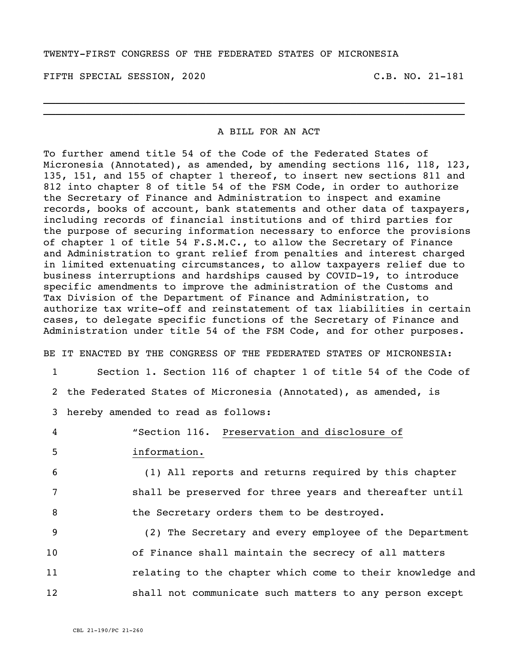## TWENTY-FIRST CONGRESS OF THE FEDERATED STATES OF MICRONESIA

FIFTH SPECIAL SESSION, 2020 C.B. NO. 21-181

## A BILL FOR AN ACT

 $\_$  , and the set of the set of the set of the set of the set of the set of the set of the set of the set of the set of the set of the set of the set of the set of the set of the set of the set of the set of the set of th \_\_\_\_\_\_\_\_\_\_\_\_\_\_\_\_\_\_\_\_\_\_\_\_\_\_\_\_\_\_\_\_\_\_\_\_\_\_\_\_\_\_\_\_\_\_\_\_\_\_\_\_\_\_\_\_\_\_\_\_\_\_\_\_\_\_\_\_\_\_

To further amend title 54 of the Code of the Federated States of Micronesia (Annotated), as amended, by amending sections 116, 118, 123, 135, 151, and 155 of chapter 1 thereof, to insert new sections 811 and 812 into chapter 8 of title 54 of the FSM Code, in order to authorize the Secretary of Finance and Administration to inspect and examine records, books of account, bank statements and other data of taxpayers, including records of financial institutions and of third parties for the purpose of securing information necessary to enforce the provisions of chapter 1 of title 54 F.S.M.C., to allow the Secretary of Finance and Administration to grant relief from penalties and interest charged in limited extenuating circumstances, to allow taxpayers relief due to business interruptions and hardships caused by COVID-19, to introduce specific amendments to improve the administration of the Customs and Tax Division of the Department of Finance and Administration, to authorize tax write-off and reinstatement of tax liabilities in certain cases, to delegate specific functions of the Secretary of Finance and Administration under title 54 of the FSM Code, and for other purposes.

BE IT ENACTED BY THE CONGRESS OF THE FEDERATED STATES OF MICRONESIA: 1 Section 1. Section 116 of chapter 1 of title 54 of the Code of

2 the Federated States of Micronesia (Annotated), as amended, is

3 hereby amended to read as follows:

4 "Section 116. Preservation and disclosure of

5 information.

6 (1) All reports and returns required by this chapter 7 shall be preserved for three years and thereafter until 8 **the Secretary orders them to be destroyed.** 

 (2) The Secretary and every employee of the Department of Finance shall maintain the secrecy of all matters relating to the chapter which come to their knowledge and shall not communicate such matters to any person except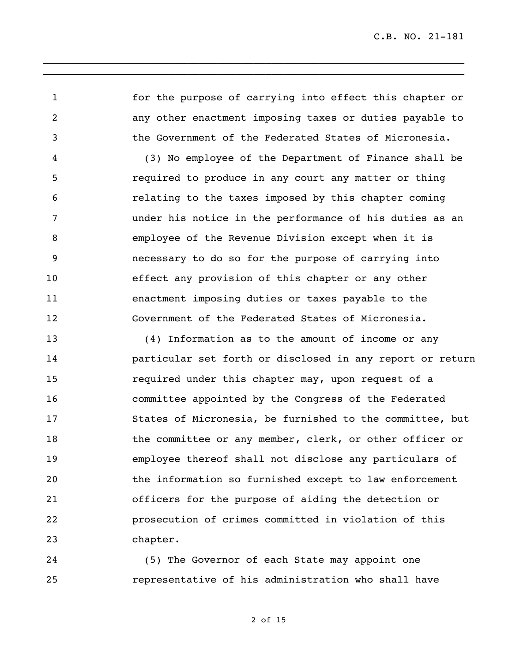for the purpose of carrying into effect this chapter or any other enactment imposing taxes or duties payable to the Government of the Federated States of Micronesia.

\_\_\_\_\_\_\_\_\_\_\_\_\_\_\_\_\_\_\_\_\_\_\_\_\_\_\_\_\_\_\_\_\_\_\_\_\_\_\_\_\_\_\_\_\_\_\_\_\_\_\_\_\_\_\_\_\_\_\_\_\_\_\_\_\_\_\_\_\_\_ **\_\_\_\_\_\_\_\_\_\_\_\_\_\_\_\_\_\_\_\_\_\_\_\_\_\_\_\_\_\_\_\_\_\_\_\_\_\_\_\_\_\_\_\_\_\_\_\_\_\_\_\_\_\_\_\_\_\_\_\_\_\_\_\_\_\_\_\_\_\_**

 (3) No employee of the Department of Finance shall be required to produce in any court any matter or thing relating to the taxes imposed by this chapter coming under his notice in the performance of his duties as an employee of the Revenue Division except when it is necessary to do so for the purpose of carrying into effect any provision of this chapter or any other enactment imposing duties or taxes payable to the Government of the Federated States of Micronesia.

 (4) Information as to the amount of income or any particular set forth or disclosed in any report or return required under this chapter may, upon request of a committee appointed by the Congress of the Federated States of Micronesia, be furnished to the committee, but the committee or any member, clerk, or other officer or employee thereof shall not disclose any particulars of the information so furnished except to law enforcement officers for the purpose of aiding the detection or prosecution of crimes committed in violation of this chapter.

 (5) The Governor of each State may appoint one representative of his administration who shall have

of 15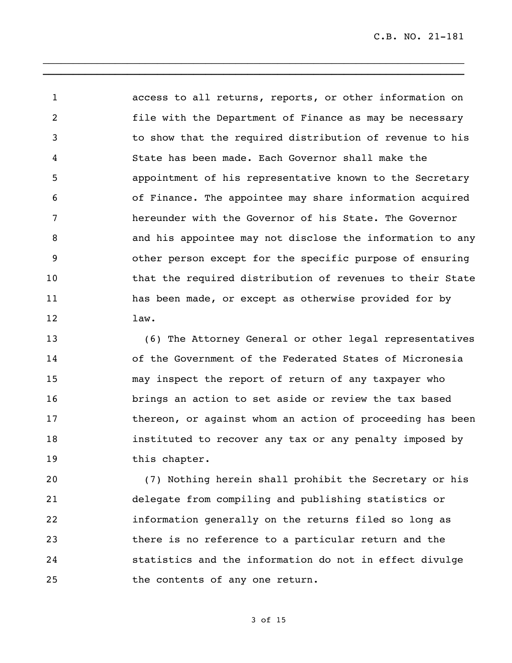access to all returns, reports, or other information on file with the Department of Finance as may be necessary to show that the required distribution of revenue to his State has been made. Each Governor shall make the appointment of his representative known to the Secretary of Finance. The appointee may share information acquired hereunder with the Governor of his State. The Governor and his appointee may not disclose the information to any other person except for the specific purpose of ensuring that the required distribution of revenues to their State has been made, or except as otherwise provided for by law.

\_\_\_\_\_\_\_\_\_\_\_\_\_\_\_\_\_\_\_\_\_\_\_\_\_\_\_\_\_\_\_\_\_\_\_\_\_\_\_\_\_\_\_\_\_\_\_\_\_\_\_\_\_\_\_\_\_\_\_\_\_\_\_\_\_\_\_\_\_\_ **\_\_\_\_\_\_\_\_\_\_\_\_\_\_\_\_\_\_\_\_\_\_\_\_\_\_\_\_\_\_\_\_\_\_\_\_\_\_\_\_\_\_\_\_\_\_\_\_\_\_\_\_\_\_\_\_\_\_\_\_\_\_\_\_\_\_\_\_\_\_**

 (6) The Attorney General or other legal representatives of the Government of the Federated States of Micronesia may inspect the report of return of any taxpayer who brings an action to set aside or review the tax based 17 thereon, or against whom an action of proceeding has been instituted to recover any tax or any penalty imposed by this chapter.

 (7) Nothing herein shall prohibit the Secretary or his delegate from compiling and publishing statistics or information generally on the returns filed so long as there is no reference to a particular return and the statistics and the information do not in effect divulge the contents of any one return.

of 15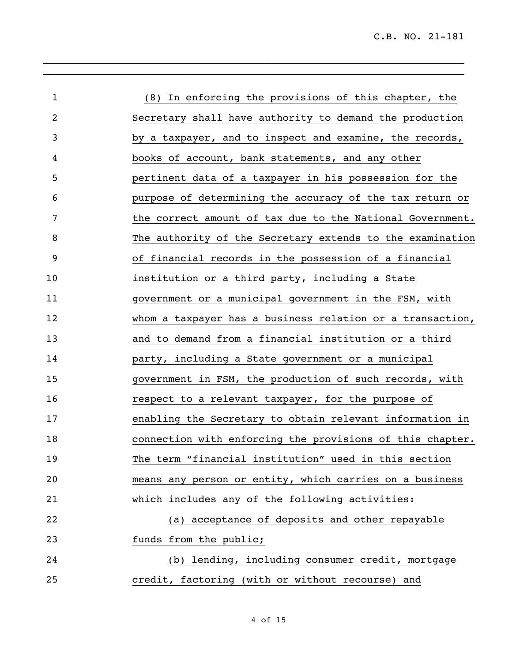| $\mathbf 1$ | (8) In enforcing the provisions of this chapter, the      |
|-------------|-----------------------------------------------------------|
| 2           | Secretary shall have authority to demand the production   |
| 3           | by a taxpayer, and to inspect and examine, the records,   |
| 4           | books of account, bank statements, and any other          |
| 5           | pertinent data of a taxpayer in his possession for the    |
| 6           | purpose of determining the accuracy of the tax return or  |
| 7           | the correct amount of tax due to the National Government. |
| 8           | The authority of the Secretary extends to the examination |
| 9           | of financial records in the possession of a financial     |
| 10          | institution or a third party, including a State           |
| 11          | government or a municipal government in the FSM, with     |
| 12          | whom a taxpayer has a business relation or a transaction, |
| 13          | and to demand from a financial institution or a third     |
| 14          | party, including a State government or a municipal        |
| 15          | government in FSM, the production of such records, with   |
| 16          | respect to a relevant taxpayer, for the purpose of        |
| 17          | enabling the Secretary to obtain relevant information in  |
| 18          | connection with enforcing the provisions of this chapter. |
| 19          | The term "financial institution" used in this section     |
| 20          | means any person or entity, which carries on a business   |
| 21          | which includes any of the following activities:           |
| 22          | (a) acceptance of deposits and other repayable            |
| 23          | funds from the public;                                    |
| 24          | (b) lending, including consumer credit, mortgage          |
| 25          | credit, factoring (with or without recourse) and          |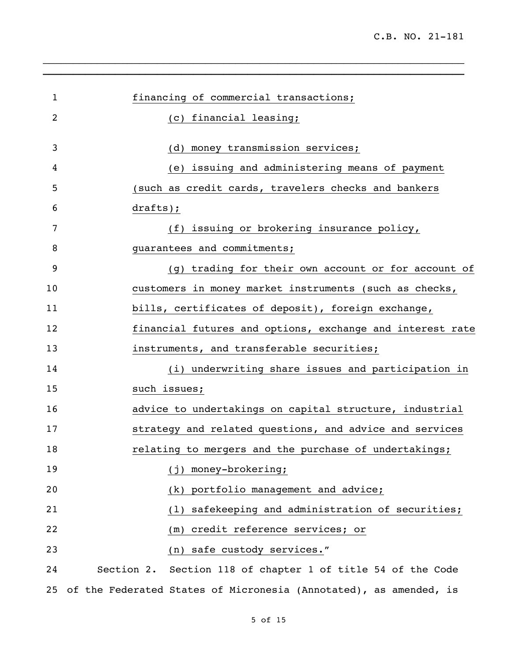| $\mathbf{1}$ | financing of commercial transactions;                             |
|--------------|-------------------------------------------------------------------|
| 2            | (c) financial leasing;                                            |
|              |                                                                   |
| 3            | (d) money transmission services;                                  |
| 4            | (e) issuing and administering means of payment                    |
| 5            | (such as credit cards, travelers checks and bankers               |
| 6            | $dratts$ ;                                                        |
| 7            | (f) issuing or brokering insurance policy,                        |
| 8            | guarantees and commitments;                                       |
| 9            | (g) trading for their own account or for account of               |
| 10           | customers in money market instruments (such as checks,            |
| 11           | bills, certificates of deposit), foreign exchange,                |
| 12           | financial futures and options, exchange and interest rate         |
| 13           | instruments, and transferable securities;                         |
| 14           | (i) underwriting share issues and participation in                |
| 15           | such issues;                                                      |
| 16           | advice to undertakings on capital structure, industrial           |
| 17           | strategy and related questions, and advice and services           |
| 18           | relating to mergers and the purchase of undertakings;             |
| 19           | (j) money-brokering;                                              |
| 20           | (k) portfolio management and advice;                              |
| 21           | safekeeping and administration of securities;<br>(1)              |
| 22           | credit reference services; or<br>(m)                              |
| 23           | (n) safe custody services."                                       |
| 24           | Section 2. Section 118 of chapter 1 of title 54 of the Code       |
| 25           | of the Federated States of Micronesia (Annotated), as amended, is |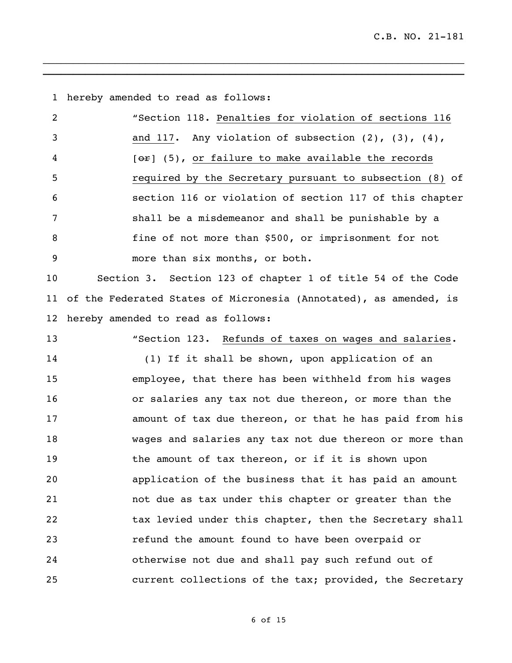hereby amended to read as follows:

| $\overline{2}$ | "Section 118. Penalties for violation of sections 116            |
|----------------|------------------------------------------------------------------|
| -3             | and 117. Any violation of subsection $(2)$ , $(3)$ , $(4)$ ,     |
| 4              | $[\Theta \hat{r}]$ (5), or failure to make available the records |
| 5              | required by the Secretary pursuant to subsection (8) of          |
| 6              | section 116 or violation of section 117 of this chapter          |
|                | shall be a misdemeanor and shall be punishable by a              |
| 8              | fine of not more than \$500, or imprisonment for not             |
| -9             | more than six months, or both.                                   |

\_\_\_\_\_\_\_\_\_\_\_\_\_\_\_\_\_\_\_\_\_\_\_\_\_\_\_\_\_\_\_\_\_\_\_\_\_\_\_\_\_\_\_\_\_\_\_\_\_\_\_\_\_\_\_\_\_\_\_\_\_\_\_\_\_\_\_\_\_\_ **\_\_\_\_\_\_\_\_\_\_\_\_\_\_\_\_\_\_\_\_\_\_\_\_\_\_\_\_\_\_\_\_\_\_\_\_\_\_\_\_\_\_\_\_\_\_\_\_\_\_\_\_\_\_\_\_\_\_\_\_\_\_\_\_\_\_\_\_\_\_**

 Section 3. Section 123 of chapter 1 of title 54 of the Code of the Federated States of Micronesia (Annotated), as amended, is hereby amended to read as follows:

 "Section 123. Refunds of taxes on wages and salaries. (1) If it shall be shown, upon application of an employee, that there has been withheld from his wages or salaries any tax not due thereon, or more than the amount of tax due thereon, or that he has paid from his wages and salaries any tax not due thereon or more than 19 the amount of tax thereon, or if it is shown upon application of the business that it has paid an amount not due as tax under this chapter or greater than the 22 tax levied under this chapter, then the Secretary shall refund the amount found to have been overpaid or otherwise not due and shall pay such refund out of current collections of the tax; provided, the Secretary

of 15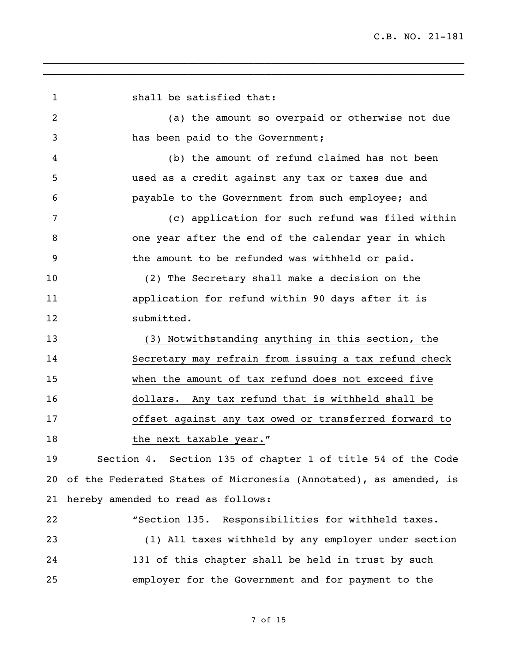1 shall be satisfied that: (a) the amount so overpaid or otherwise not due has been paid to the Government; (b) the amount of refund claimed has not been used as a credit against any tax or taxes due and payable to the Government from such employee; and (c) application for such refund was filed within one year after the end of the calendar year in which the amount to be refunded was withheld or paid. (2) The Secretary shall make a decision on the application for refund within 90 days after it is submitted. (3) Notwithstanding anything in this section, the Secretary may refrain from issuing a tax refund check when the amount of tax refund does not exceed five dollars. Any tax refund that is withheld shall be offset against any tax owed or transferred forward to 18 the next taxable year." Section 4. Section 135 of chapter 1 of title 54 of the Code of the Federated States of Micronesia (Annotated), as amended, is hereby amended to read as follows: "Section 135. Responsibilities for withheld taxes. (1) All taxes withheld by any employer under section 131 of this chapter shall be held in trust by such employer for the Government and for payment to the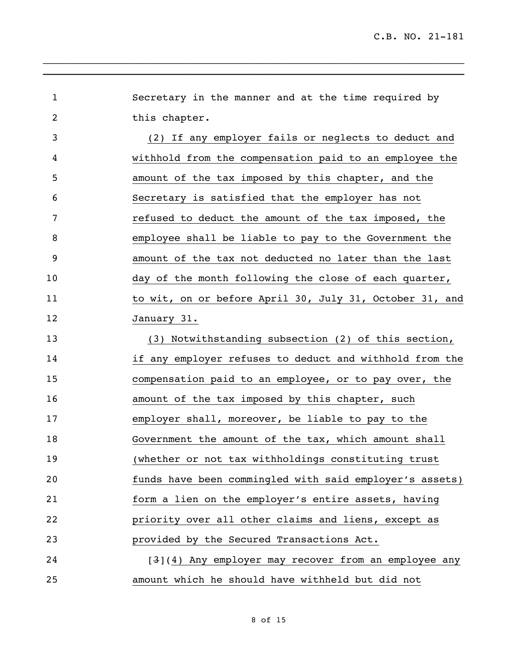Secretary in the manner and at the time required by this chapter. (2) If any employer fails or neglects to deduct and withhold from the compensation paid to an employee the amount of the tax imposed by this chapter, and the Secretary is satisfied that the employer has not refused to deduct the amount of the tax imposed, the employee shall be liable to pay to the Government the amount of the tax not deducted no later than the last day of the month following the close of each quarter, 11 to wit, on or before April 30, July 31, October 31, and January 31. (3) Notwithstanding subsection (2) of this section, if any employer refuses to deduct and withhold from the compensation paid to an employee, or to pay over, the 16 amount of the tax imposed by this chapter, such employer shall, moreover, be liable to pay to the Government the amount of the tax, which amount shall (whether or not tax withholdings constituting trust funds have been commingled with said employer's assets) form a lien on the employer's entire assets, having priority over all other claims and liens, except as provided by the Secured Transactions Act. **[3](4)** Any employer may recover from an employee any amount which he should have withheld but did not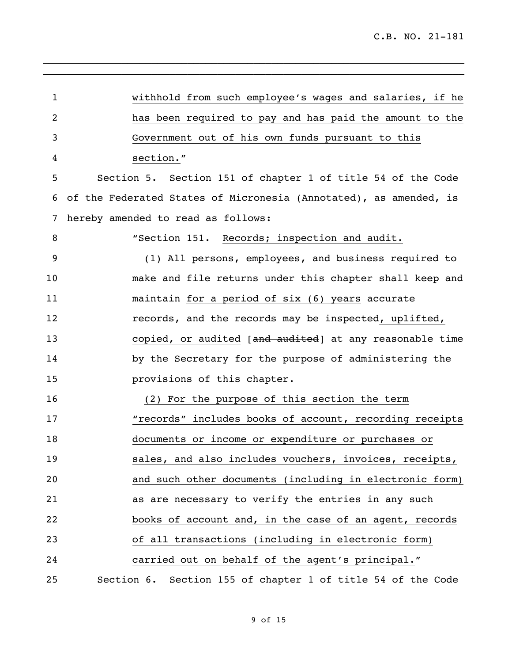withhold from such employee's wages and salaries, if he has been required to pay and has paid the amount to the Government out of his own funds pursuant to this section." Section 5. Section 151 of chapter 1 of title 54 of the Code of the Federated States of Micronesia (Annotated), as amended, is hereby amended to read as follows: "Section 151. Records; inspection and audit. (1) All persons, employees, and business required to make and file returns under this chapter shall keep and maintain for a period of six (6) years accurate records, and the records may be inspected, uplifted, 13 copied, or audited [and audited] at any reasonable time 14 by the Secretary for the purpose of administering the provisions of this chapter. (2) For the purpose of this section the term "records" includes books of account, recording receipts documents or income or expenditure or purchases or sales, and also includes vouchers, invoices, receipts, and such other documents (including in electronic form) as are necessary to verify the entries in any such books of account and, in the case of an agent, records of all transactions (including in electronic form) carried out on behalf of the agent's principal." Section 6. Section 155 of chapter 1 of title 54 of the Code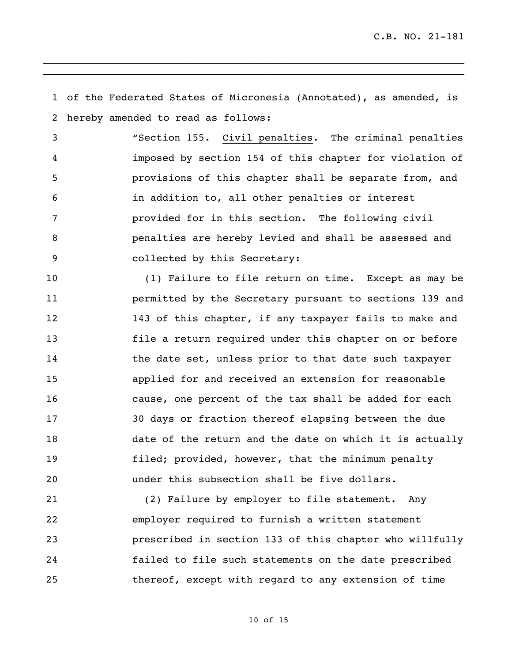of the Federated States of Micronesia (Annotated), as amended, is hereby amended to read as follows:

\_\_\_\_\_\_\_\_\_\_\_\_\_\_\_\_\_\_\_\_\_\_\_\_\_\_\_\_\_\_\_\_\_\_\_\_\_\_\_\_\_\_\_\_\_\_\_\_\_\_\_\_\_\_\_\_\_\_\_\_\_\_\_\_\_\_\_\_\_\_ **\_\_\_\_\_\_\_\_\_\_\_\_\_\_\_\_\_\_\_\_\_\_\_\_\_\_\_\_\_\_\_\_\_\_\_\_\_\_\_\_\_\_\_\_\_\_\_\_\_\_\_\_\_\_\_\_\_\_\_\_\_\_\_\_\_\_\_\_\_\_**

 "Section 155. Civil penalties. The criminal penalties imposed by section 154 of this chapter for violation of provisions of this chapter shall be separate from, and in addition to, all other penalties or interest provided for in this section. The following civil penalties are hereby levied and shall be assessed and collected by this Secretary:

10 (1) Failure to file return on time. Except as may be permitted by the Secretary pursuant to sections 139 and 143 of this chapter, if any taxpayer fails to make and file a return required under this chapter on or before 14 the date set, unless prior to that date such taxpayer applied for and received an extension for reasonable cause, one percent of the tax shall be added for each 30 days or fraction thereof elapsing between the due date of the return and the date on which it is actually filed; provided, however, that the minimum penalty under this subsection shall be five dollars.

 (2) Failure by employer to file statement. Any employer required to furnish a written statement prescribed in section 133 of this chapter who willfully failed to file such statements on the date prescribed thereof, except with regard to any extension of time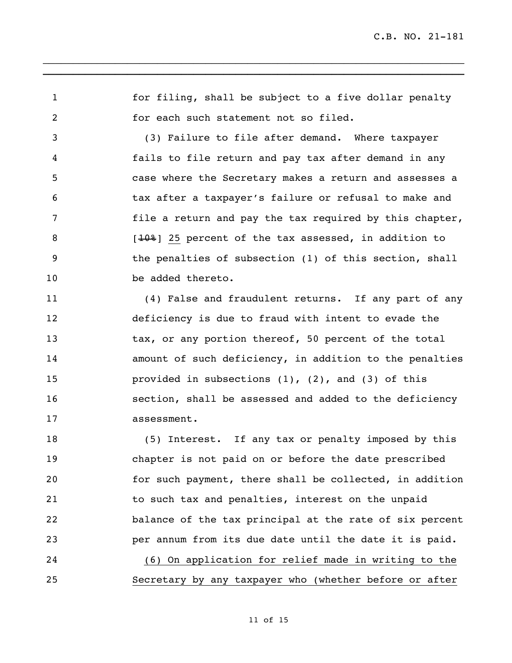for filing, shall be subject to a five dollar penalty for each such statement not so filed.

\_\_\_\_\_\_\_\_\_\_\_\_\_\_\_\_\_\_\_\_\_\_\_\_\_\_\_\_\_\_\_\_\_\_\_\_\_\_\_\_\_\_\_\_\_\_\_\_\_\_\_\_\_\_\_\_\_\_\_\_\_\_\_\_\_\_\_\_\_\_ **\_\_\_\_\_\_\_\_\_\_\_\_\_\_\_\_\_\_\_\_\_\_\_\_\_\_\_\_\_\_\_\_\_\_\_\_\_\_\_\_\_\_\_\_\_\_\_\_\_\_\_\_\_\_\_\_\_\_\_\_\_\_\_\_\_\_\_\_\_\_**

 (3) Failure to file after demand. Where taxpayer fails to file return and pay tax after demand in any case where the Secretary makes a return and assesses a tax after a taxpayer's failure or refusal to make and file a return and pay the tax required by this chapter, 8 [10%] 25 percent of the tax assessed, in addition to the penalties of subsection (1) of this section, shall 10 be added thereto.

 (4) False and fraudulent returns. If any part of any deficiency is due to fraud with intent to evade the 13 tax, or any portion thereof, 50 percent of the total amount of such deficiency, in addition to the penalties 15 provided in subsections (1), (2), and (3) of this section, shall be assessed and added to the deficiency assessment.

 (5) Interest. If any tax or penalty imposed by this chapter is not paid on or before the date prescribed for such payment, there shall be collected, in addition to such tax and penalties, interest on the unpaid balance of the tax principal at the rate of six percent per annum from its due date until the date it is paid. (6) On application for relief made in writing to the

Secretary by any taxpayer who (whether before or after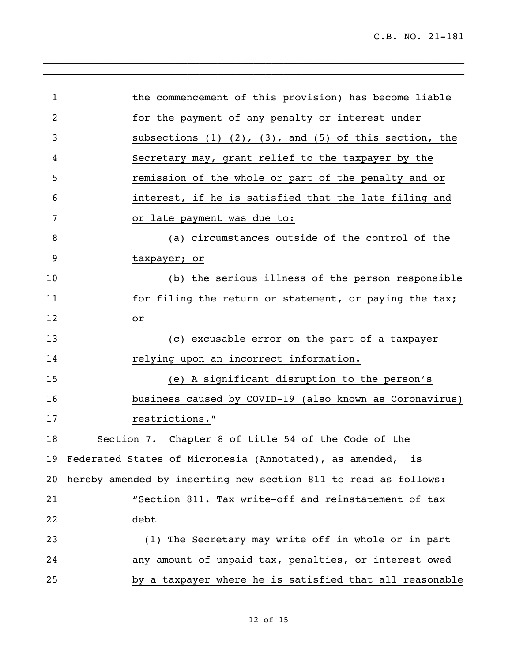| $\mathbf{1}$   | the commencement of this provision) has become liable            |
|----------------|------------------------------------------------------------------|
| $\overline{2}$ | for the payment of any penalty or interest under                 |
| 3              | subsections $(1)$ $(2)$ , $(3)$ , and $(5)$ of this section, the |
| 4              | Secretary may, grant relief to the taxpayer by the               |
| 5              | remission of the whole or part of the penalty and or             |
| 6              | interest, if he is satisfied that the late filing and            |
| 7              | or late payment was due to:                                      |
| 8              | (a) circumstances outside of the control of the                  |
| 9              | taxpayer; or                                                     |
| 10             | (b) the serious illness of the person responsible                |
| 11             | for filing the return or statement, or paying the tax;           |
| 12             | or                                                               |
| 13             | (c) excusable error on the part of a taxpayer                    |
| 14             | relying upon an incorrect information.                           |
| 15             | (e) A significant disruption to the person's                     |
| 16             | business caused by COVID-19 (also known as Coronavirus)          |
| 17             | restrictions."                                                   |
| 18             | Section 7. Chapter 8 of title 54 of the Code of the              |
|                | 19 Federated States of Micronesia (Annotated), as amended, is    |
| 20             | hereby amended by inserting new section 811 to read as follows:  |
| 21             | "Section 811. Tax write-off and reinstatement of tax             |
| 22             | debt                                                             |
| 23             | (1) The Secretary may write off in whole or in part              |
| 24             | any amount of unpaid tax, penalties, or interest owed            |
| 25             | by a taxpayer where he is satisfied that all reasonable          |

 $\overline{a_1}$  , and an approximately dependent of the set of the set of the set of the set of the set of the set of the set of the set of the set of the set of the set of the set of the set of the set of the set of the set o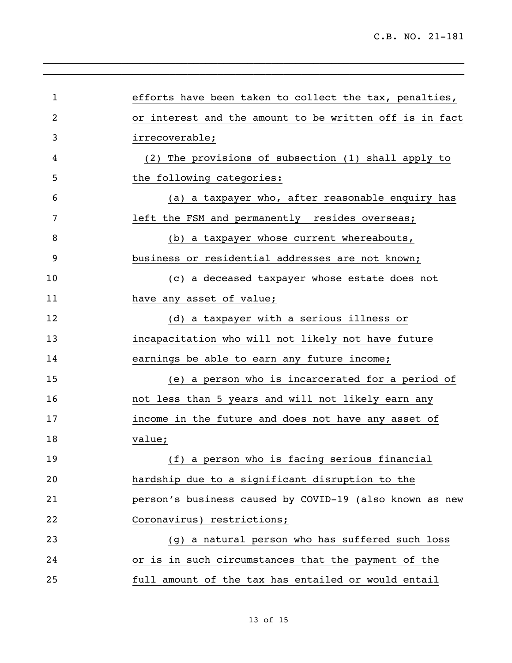| $\mathbf{1}$   | efforts have been taken to collect the tax, penalties,  |
|----------------|---------------------------------------------------------|
| $\overline{2}$ | or interest and the amount to be written off is in fact |
| 3              | irrecoverable;                                          |
| 4              | (2) The provisions of subsection (1) shall apply to     |
| 5              | the following categories:                               |
| 6              | (a) a taxpayer who, after reasonable enquiry has        |
| 7              | left the FSM and permanently resides overseas;          |
| 8              | (b) a taxpayer whose current whereabouts,               |
| 9              | business or residential addresses are not known;        |
| 10             | (c) a deceased taxpayer whose estate does not           |
| 11             | have any asset of value;                                |
| 12             | (d) a taxpayer with a serious illness or                |
| 13             | incapacitation who will not likely not have future      |
| 14             | earnings be able to earn any future income;             |
| 15             | (e) a person who is incarcerated for a period of        |
| 16             | not less than 5 years and will not likely earn any      |
| 17             | income in the future and does not have any asset of     |
| 18             | value;                                                  |
| 19             | (f) a person who is facing serious financial            |
| 20             | hardship due to a significant disruption to the         |
| 21             | person's business caused by COVID-19 (also known as new |
| 22             | Coronavirus) restrictions;                              |
| 23             | (g) a natural person who has suffered such loss         |
| 24             | or is in such circumstances that the payment of the     |
| 25             | full amount of the tax has entailed or would entail     |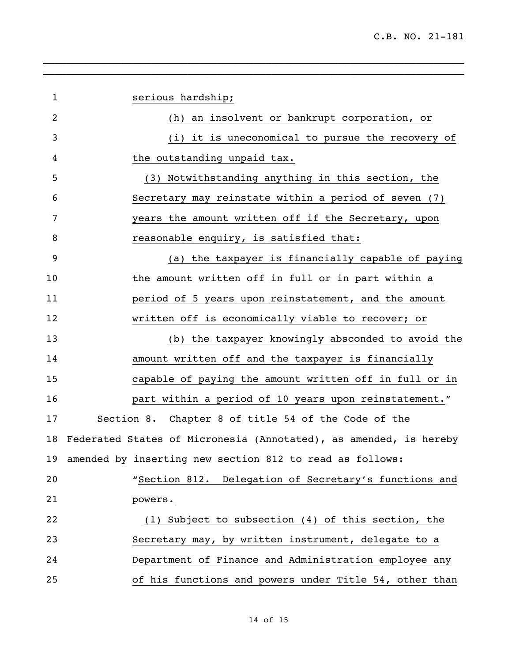| $\mathbf{1}$ | serious hardship;                                                 |
|--------------|-------------------------------------------------------------------|
| 2            | (h) an insolvent or bankrupt corporation, or                      |
| 3            | (i) it is uneconomical to pursue the recovery of                  |
| 4            | the outstanding unpaid tax.                                       |
| 5            | (3) Notwithstanding anything in this section, the                 |
| 6            | Secretary may reinstate within a period of seven (7)              |
| 7            | years the amount written off if the Secretary, upon               |
| 8            | reasonable enquiry, is satisfied that:                            |
| 9            | (a) the taxpayer is financially capable of paying                 |
| 10           | the amount written off in full or in part within a                |
| 11           | period of 5 years upon reinstatement, and the amount              |
| 12           | written off is economically viable to recover; or                 |
| 13           | (b) the taxpayer knowingly absconded to avoid the                 |
| 14           | amount written off and the taxpayer is financially                |
| 15           | capable of paying the amount written off in full or in            |
| 16           | part within a period of 10 years upon reinstatement."             |
| 17           | Section 8. Chapter 8 of title 54 of the Code of the               |
| 18           | Federated States of Micronesia (Annotated), as amended, is hereby |
| 19           | amended by inserting new section 812 to read as follows:          |
| 20           | "Section 812. Delegation of Secretary's functions and             |
| 21           | powers.                                                           |
| 22           | (1) Subject to subsection (4) of this section, the                |
| 23           | Secretary may, by written instrument, delegate to a               |
| 24           | Department of Finance and Administration employee any             |
| 25           | of his functions and powers under Title 54, other than            |